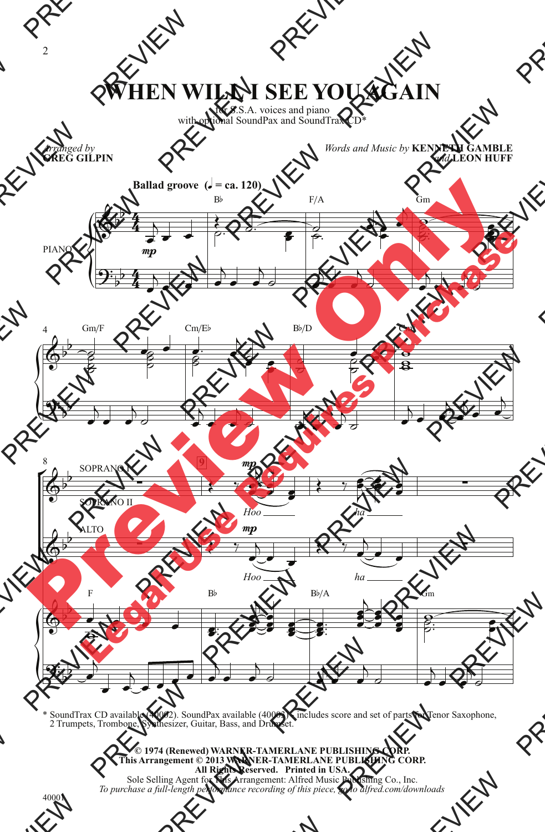## **WHEN WILL I SEE YOU AGAIN**

for S.S.A. voices and piano with optional SoundPax and SoundTrax CD\*

*Arranged by* **GREG GILPIN** *Words and Music by* **KENNETH GAMBLE** *and* **LEON HUFF**



\* SoundTrax CD available (40002). SoundPax available (40003) - includes score and set of parts for Tenor Saxophone, 2 Trumpets, Trombone, Synthesizer, Guitar, Bass, and Drumset.

> **© 1974 (Renewed) WARNER-TAMERLANE PUBLISHING CORP. This Arrangement © 2013 WARNER-TAMERLANE PUBLISHING CORP. All Rights Reserved. Printed in USA.**

Sole Selling Agent for This Arrangement: Alfred Music Publishing Co., Inc. *To purchase a full-length performance recording of this piece, go to alfred.com/downloads*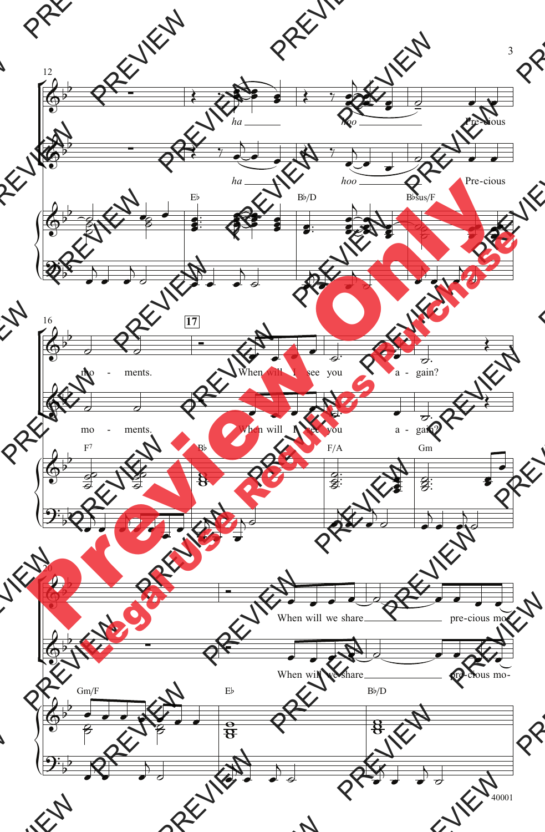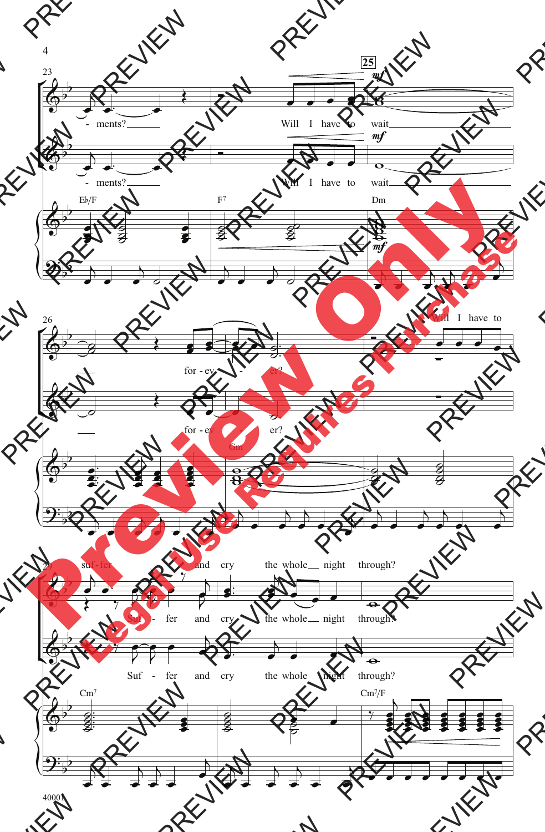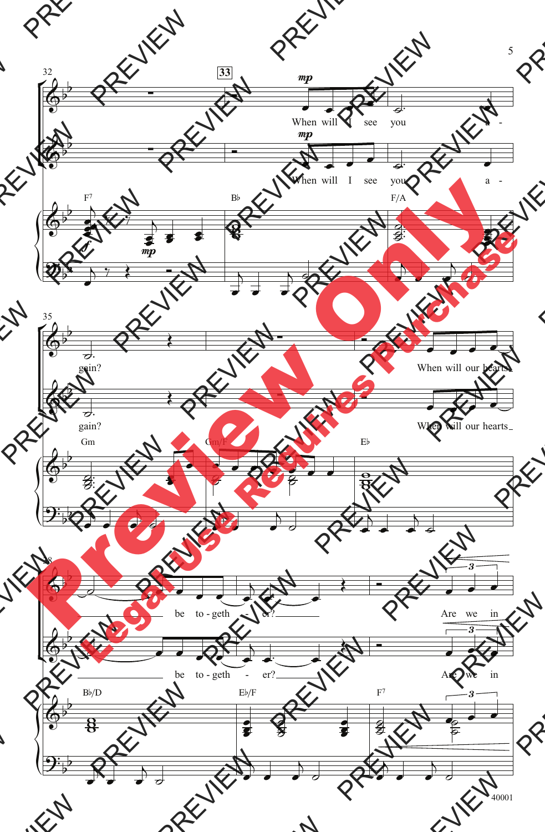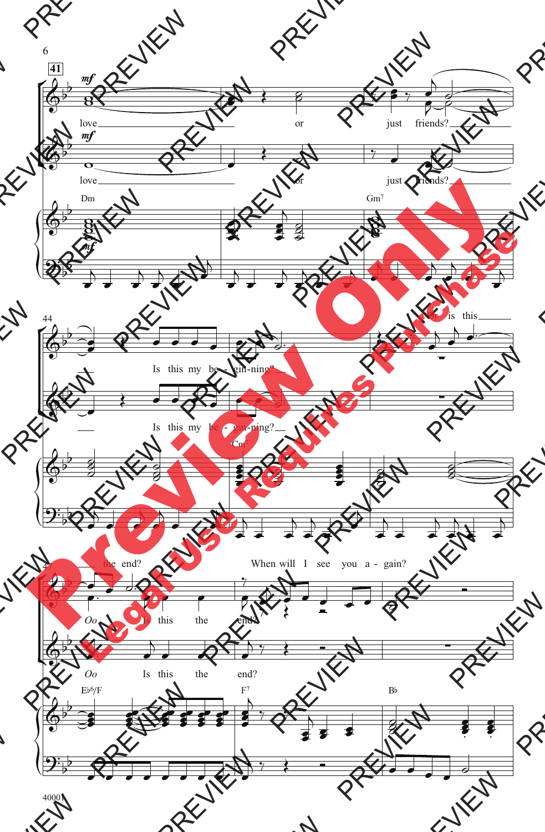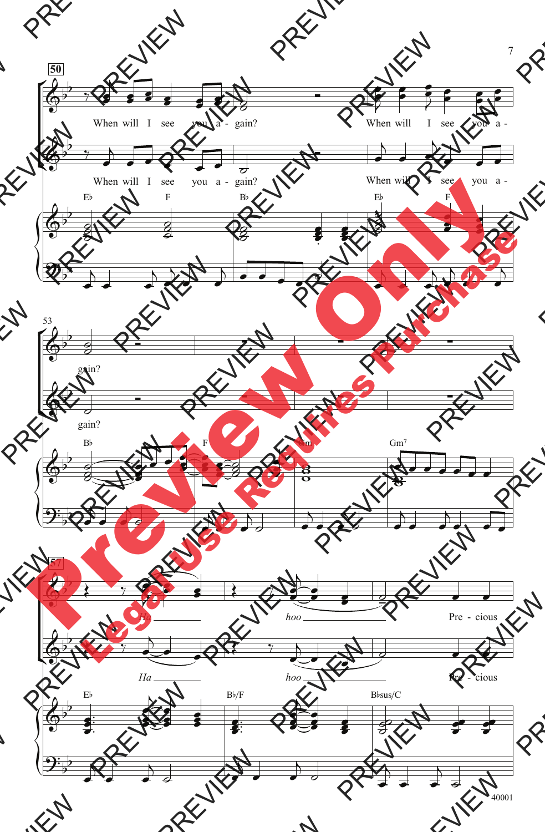

<sup>7</sup>

40001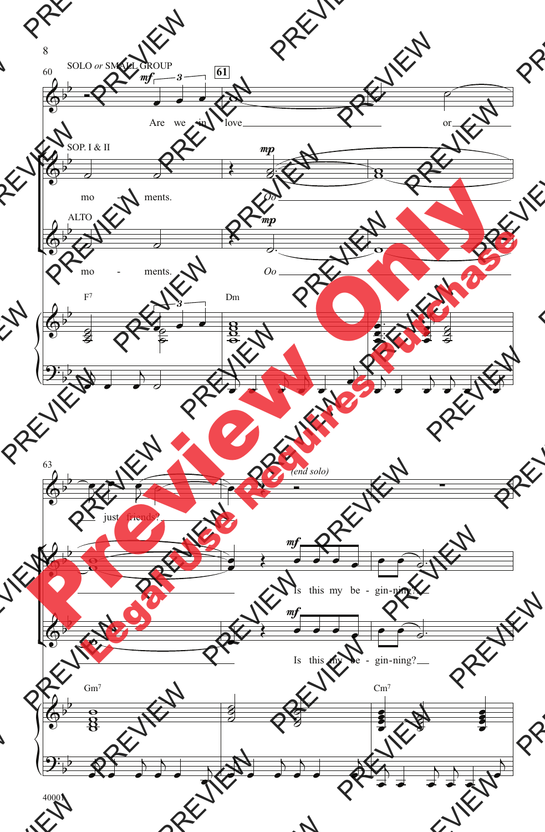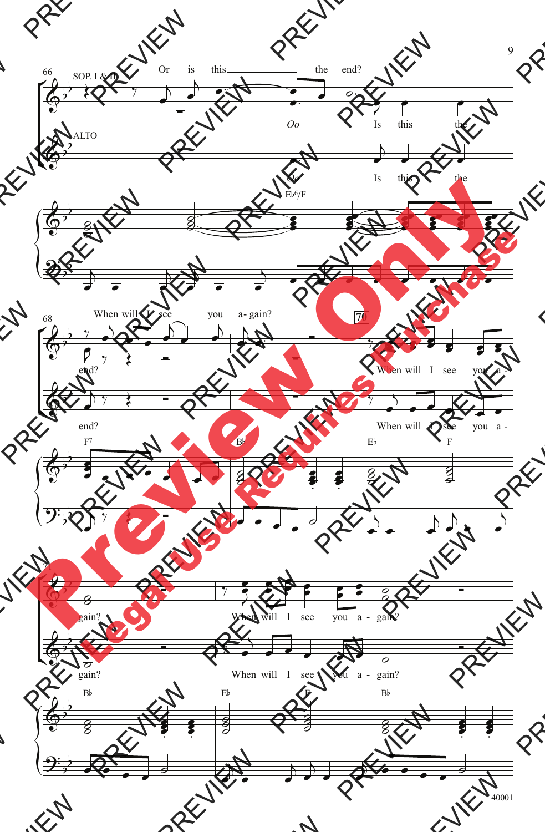